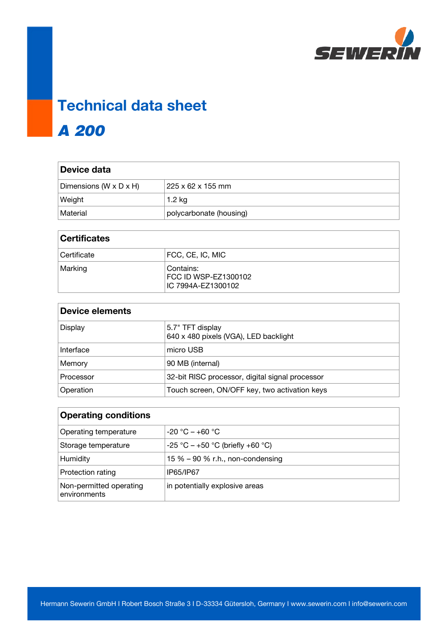

## **Technical data sheet** A 200

| Device data            |                         |
|------------------------|-------------------------|
| Dimensions (W x D x H) | 225 x 62 x 155 mm       |
| Weight                 | 1.2 kg                  |
| Material               | polycarbonate (housing) |

| <b>Certificates</b> |                                                         |
|---------------------|---------------------------------------------------------|
| Certificate         | FCC, CE, IC, MIC                                        |
| Marking             | Contains:<br>FCC ID WSP-EZ1300102<br>IC 7994A-EZ1300102 |

| <b>Device elements</b> |                                                           |
|------------------------|-----------------------------------------------------------|
| Display                | 5.7" TFT display<br>640 x 480 pixels (VGA), LED backlight |
| Interface              | micro USB                                                 |
| Memory                 | 90 MB (internal)                                          |
| Processor              | 32-bit RISC processor, digital signal processor           |
| Operation              | Touch screen, ON/OFF key, two activation keys             |

| <b>Operating conditions</b>             |                                     |
|-----------------------------------------|-------------------------------------|
| Operating temperature                   | $-20$ °C $-+60$ °C                  |
| Storage temperature                     | $-25$ °C $-+50$ °C (briefly +60 °C) |
| Humidity                                | 15 % $-90$ % r.h., non-condensing   |
| Protection rating                       | IP65/IP67                           |
| Non-permitted operating<br>environments | in potentially explosive areas      |